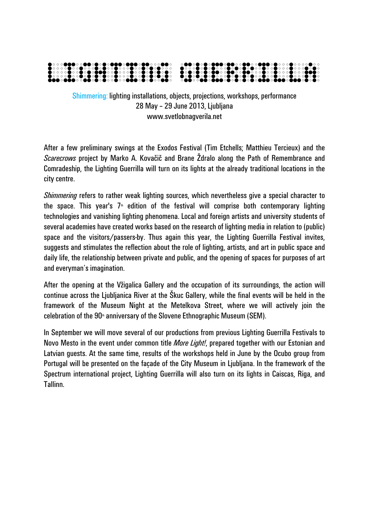

Shimmering: lighting installations, objects, projections, workshops, performance 28 May – 29 June 2013, Ljubljana www.svetlobnagverila.net

After a few preliminary swings at the Exodos Festival (Tim Etchells; Matthieu Tercieux) and the *Scarecrows* project by Marko A. Kovačič and Brane Ždralo along the Path of Remembrance and Comradeship, the Lighting Guerrilla will turn on its lights at the already traditional locations in the city centre.

*Shimmering* refers to rather weak lighting sources, which nevertheless give a special character to the space. This year's  $7<sup>*</sup>$  edition of the festival will comprise both contemporary lighting technologies and vanishing lighting phenomena. Local and foreign artists and university students of several academies have created works based on the research of lighting media in relation to (public) space and the visitors/passers-by. Thus again this year, the Lighting Guerrilla Festival invites, suggests and stimulates the reflection about the role of lighting, artists, and art in public space and daily life, the relationship between private and public, and the opening of spaces for purposes of art and everyman's imagination.

After the opening at the Vžigalica Gallery and the occupation of its surroundings, the action will continue across the Ljubljanica River at the Škuc Gallery, while the final events will be held in the framework of the Museum Night at the Metelkova Street, where we will actively join the celebration of the 90<sup>th</sup> anniversary of the Slovene Ethnographic Museum (SEM).

In September we will move several of our productions from previous Lighting Guerrilla Festivals to Novo Mesto in the event under common title *More Light!*, prepared together with our Estonian and Latvian guests. At the same time, results of the workshops held in June by the Ocubo group from Portugal will be presented on the façade of the City Museum in Ljubljana. In the framework of the Spectrum international project, Lighting Guerrilla will also turn on its lights in Caiscas, Riga, and Tallinn.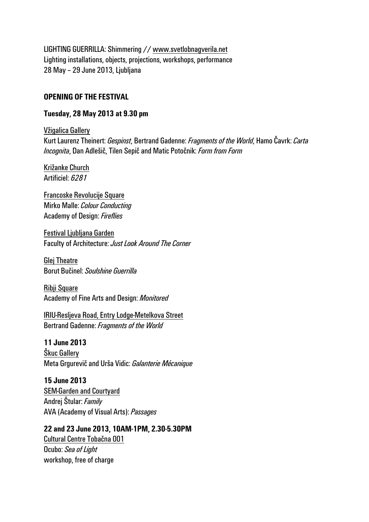LIGHTING GUERRILLA: Shimmering // www.svetlobnagverila.net Lighting installations, objects, projections, workshops, performance 28 May – 29 June 2013, Ljubljana

#### **OPENING OF THE FESTIVAL**

#### **Tuesday, 28 May 2013 at 9.30 pm**

Vžigalica Gallery Kurt Laurenz Theinert: *Gespinst*, Bertrand Gadenne: *Fragments of the World*, Hamo Čavrk: *Carta Incognita*, Dan Adlešič, Tilen Sepič and Matic Potočnik: *Form from Form* 

Križanke Church Artificiel: *6281* 

Francoske Revolucije Square Mirko Malle: *Colour Conducting* Academy of Design: *Fireflies*

Festival Ljubljana Garden Faculty of Architecture: *Just Look Around The Corner* 

Glej Theatre Borut Bučinel: *Soulshine Guerrilla*

Ribji Square Academy of Fine Arts and Design: *Monitored*

IRIU-Resljeva Road, Entry Lodge-Metelkova Street Bertrand Gadenne: *Fragments of the World* 

**11 June 2013**  Škuc Gallery Meta Grgurevič and Urša Vidic: *Galanterie Mécanique*

**15 June 2013**  SEM-Garden and Courtyard Andrej Štular: *Family* AVA (Academy of Visual Arts): *Passages* 

**22 and 23 June 2013, 10AM-1PM, 2.30-5.30PM**  Cultural Centre Tobačna 001 Ocubo: *Sea of Light* workshop, free of charge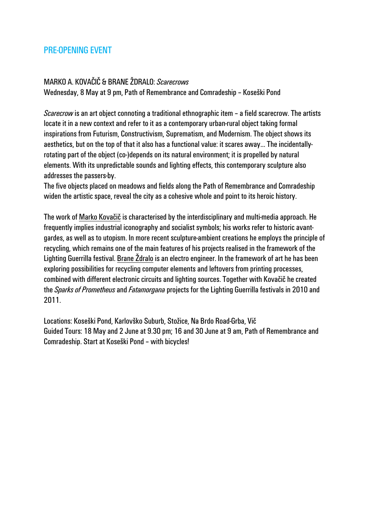# PRE-OPENING EVENT

#### MARKO A. KOVAČIČ & BRANE ŽDRALO: *Scarecrows*

Wednesday, 8 May at 9 pm, Path of Remembrance and Comradeship – Koseški Pond

*Scarecrow* is an art object connoting a traditional ethnographic item – a field scarecrow. The artists locate it in a new context and refer to it as a contemporary urban-rural object taking formal inspirations from Futurism, Constructivism, Suprematism, and Modernism. The object shows its aesthetics, but on the top of that it also has a functional value: it scares away… The incidentallyrotating part of the object (co-)depends on its natural environment; it is propelled by natural elements. With its unpredictable sounds and lighting effects, this contemporary sculpture also addresses the passers-by.

The five objects placed on meadows and fields along the Path of Remembrance and Comradeship widen the artistic space, reveal the city as a cohesive whole and point to its heroic history.

The work of Marko Kovačič is characterised by the interdisciplinary and multi-media approach. He frequently implies industrial iconography and socialist symbols; his works refer to historic avantgardes, as well as to utopism. In more recent sculpture-ambient creations he employs the principle of recycling, which remains one of the main features of his projects realised in the framework of the Lighting Guerrilla festival. Brane Ždralo is an electro engineer. In the framework of art he has been exploring possibilities for recycling computer elements and leftovers from printing processes, combined with different electronic circuits and lighting sources. Together with Kovačič he created the *Sparks of Prometheus* and *Fatamorgana* projects for the Lighting Guerrilla festivals in 2010 and 2011.

Locations: Koseški Pond, Karlovško Suburb, Stožice, Na Brdo Road-Grba, Vič Guided Tours: 18 May and 2 June at 9.30 pm; 16 and 30 June at 9 am, Path of Remembrance and Comradeship. Start at Koseški Pond – with bicycles!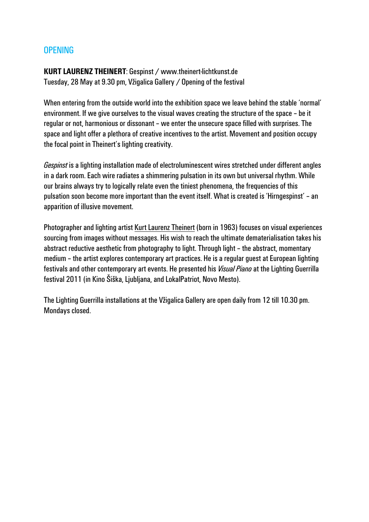## OPENING

**KURT LAURENZ THEINERT**: Gespinst / www.theinert-lichtkunst.de Tuesday, 28 May at 9.30 pm, Vžigalica Gallery / Opening of the festival

When entering from the outside world into the exhibition space we leave behind the stable 'normal' environment. If we give ourselves to the visual waves creating the structure of the space – be it regular or not, harmonious or dissonant – we enter the unsecure space filled with surprises. The space and light offer a plethora of creative incentives to the artist. Movement and position occupy the focal point in Theinert's lighting creativity.

*Gespinst* is a lighting installation made of electroluminescent wires stretched under different angles in a dark room. Each wire radiates a shimmering pulsation in its own but universal rhythm. While our brains always try to logically relate even the tiniest phenomena, the frequencies of this pulsation soon become more important than the event itself. What is created is 'Hirngespinst' – an apparition of illusive movement.

Photographer and lighting artist Kurt Laurenz Theinert (born in 1963) focuses on visual experiences sourcing from images without messages. His wish to reach the ultimate dematerialisation takes his abstract reductive aesthetic from photography to light. Through light – the abstract, momentary medium – the artist explores contemporary art practices. He is a regular guest at European lighting festivals and other contemporary art events. He presented his *Visual Piano* at the Lighting Guerrilla festival 2011 (in Kino Šiška, Ljubljana, and LokalPatriot, Novo Mesto).

The Lighting Guerrilla installations at the Vžigalica Gallery are open daily from 12 till 10.30 pm. Mondays closed.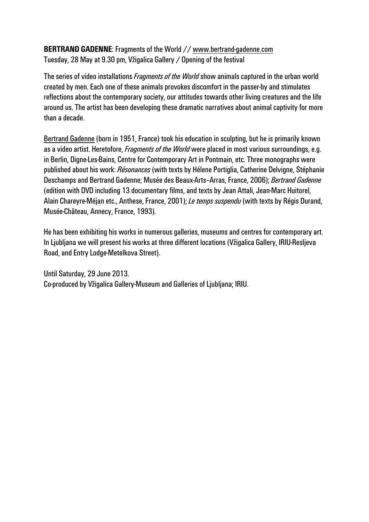### **BERTRAND GADENNE**: Fragments of the World // www.bertrand-gadenne.com Tuesday, 28 May at 9.30 pm, Vžigalica Gallery / Opening of the festival

The series of video installations *Fragments of the World* show animals captured in the urban world created by men. Each one of these animals provokes discomfort in the passer-by and stimulates reflections about the contemporary society, our attitudes towards other living creatures and the life around us. The artist has been developing these dramatic narratives about animal captivity for more than a decade.

Bertrand Gadenne (born in 1951, France) took his education in sculpting, but he is primarily known as a video artist. Heretofore, *Fragments of the World* were placed in most various surroundings, e.g. in Berlin, Digne-Les-Bains, Centre for Contemporary Art in Pontmain, etc. Three monographs were published about his work: *Résonances* (with texts by Hélene Portiglia, Catherine Delvigne, Stéphanie Deschamps and Bertrand Gadenne; Musée des Beaux-Arts–Arras, France, 2006); *Bertrand Gadenne* (edition with DVD including 13 documentary films, and texts by Jean Attali, Jean-Marc Huitorel, Alain Chareyre-Méjan etc., Anthese, France, 2001); *Le temps suspendu* (with texts by Régis Durand, Musée-Château, Annecy, France, 1993).

He has been exhibiting his works in numerous galleries, museums and centres for contemporary art. In Ljubljana we will present his works at three different locations (Vžigalica Gallery, IRIU-Resljeva Road, and Entry Lodge-Metelkova Street).

Until Saturday, 29 June 2013. Co-produced by Vžigalica Gallery-Museum and Galleries of Ljubljana; IRIU.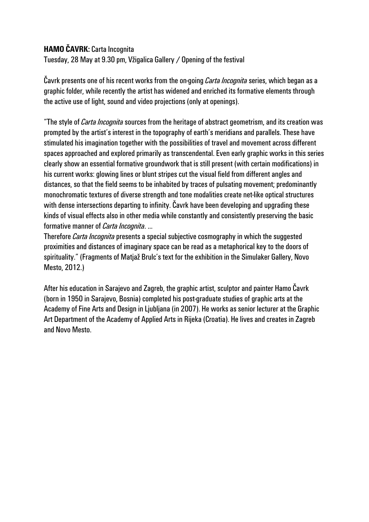## **HAMO ČAVRK:** Carta Incognita

Tuesday, 28 May at 9.30 pm, Vžigalica Gallery / Opening of the festival

Čavrk presents one of his recent works from the on-going *Carta Incognita* series, which began as a graphic folder, while recently the artist has widened and enriched its formative elements through the active use of light, sound and video projections (only at openings).

"The style of *Carta Incognita* sources from the heritage of abstract geometrism, and its creation was prompted by the artist's interest in the topography of earth's meridians and parallels. These have stimulated his imagination together with the possibilities of travel and movement across different spaces approached and explored primarily as transcendental. Even early graphic works in this series clearly show an essential formative groundwork that is still present (with certain modifications) in his current works: glowing lines or blunt stripes cut the visual field from different angles and distances, so that the field seems to be inhabited by traces of pulsating movement; predominantly monochromatic textures of diverse strength and tone modalities create net-like optical structures with dense intersections departing to infinity. Čavrk have been developing and upgrading these kinds of visual effects also in other media while constantly and consistently preserving the basic formative manner of *Carta Incognita*. …

Therefore *Carta Incognita* presents a special subjective cosmography in which the suggested proximities and distances of imaginary space can be read as a metaphorical key to the doors of spirituality." (Fragments of Matjaž Brulc's text for the exhibition in the Simulaker Gallery, Novo Mesto, 2012.)

After his education in Sarajevo and Zagreb, the graphic artist, sculptor and painter Hamo Čavrk (born in 1950 in Sarajevo, Bosnia) completed his post-graduate studies of graphic arts at the Academy of Fine Arts and Design in Ljubljana (in 2007). He works as senior lecturer at the Graphic Art Department of the Academy of Applied Arts in Rijeka (Croatia). He lives and creates in Zagreb and Novo Mesto.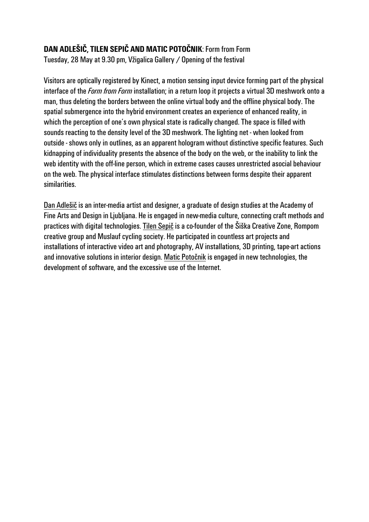# **DAN ADLEŠIČ, TILEN SEPIČ AND MATIC POTOČNIK**: Form from Form

Tuesday, 28 May at 9.30 pm, Vžigalica Gallery / Opening of the festival

Visitors are optically registered by Kinect, a motion sensing input device forming part of the physical interface of the *Form from Form* installation; in a return loop it projects a virtual 3D meshwork onto a man, thus deleting the borders between the online virtual body and the offline physical body. The spatial submergence into the hybrid environment creates an experience of enhanced reality, in which the perception of one's own physical state is radically changed. The space is filled with sounds reacting to the density level of the 3D meshwork. The lighting net - when looked from outside - shows only in outlines, as an apparent hologram without distinctive specific features. Such kidnapping of individuality presents the absence of the body on the web, or the inability to link the web identity with the off-line person, which in extreme cases causes unrestricted asocial behaviour on the web. The physical interface stimulates distinctions between forms despite their apparent similarities.

Dan Adlešič is an inter-media artist and designer, a graduate of design studies at the Academy of Fine Arts and Design in Ljubljana. He is engaged in new-media culture, connecting craft methods and practices with digital technologies. Tilen Sepič is a co-founder of the Šiška Creative Zone, Rompom creative group and Muslauf cycling society. He participated in countless art projects and installations of interactive video art and photography, AV installations, 3D printing, tape-art actions and innovative solutions in interior design. Matic Potočnik is engaged in new technologies, the development of software, and the excessive use of the Internet.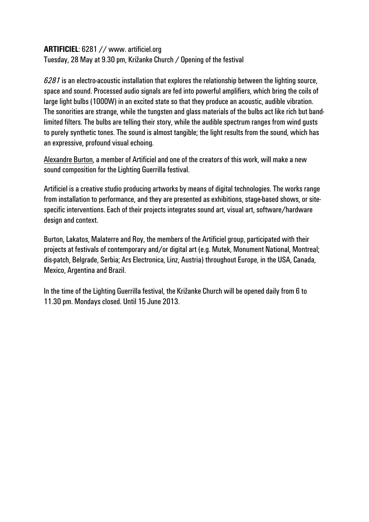#### **ARTIFICIEL**: 6281 // www. artificiel.org

Tuesday, 28 May at 9.30 pm, Križanke Church / Opening of the festival

*6281* is an electro-acoustic installation that explores the relationship between the lighting source, space and sound. Processed audio signals are fed into powerful amplifiers, which bring the coils of large light bulbs (1000W) in an excited state so that they produce an acoustic, audible vibration. The sonorities are strange, while the tungsten and glass materials of the bulbs act like rich but bandlimited filters. The bulbs are telling their story, while the audible spectrum ranges from wind gusts to purely synthetic tones. The sound is almost tangible; the light results from the sound, which has an expressive, profound visual echoing.

Alexandre Burton, a member of Artificiel and one of the creators of this work, will make a new sound composition for the Lighting Guerrilla festival.

Artificiel is a creative studio producing artworks by means of digital technologies. The works range from installation to performance, and they are presented as exhibitions, stage-based shows, or sitespecific interventions. Each of their projects integrates sound art, visual art, software/hardware design and context.

Burton, Lakatos, Malaterre and Roy, the members of the Artificiel group, participated with their projects at festivals of contemporary and/or digital art (e.g. Mutek, Monument National, Montreal; dis-patch, Belgrade, Serbia; Ars Electronica, Linz, Austria) throughout Europe, in the USA, Canada, Mexico, Argentina and Brazil.

In the time of the Lighting Guerrilla festival, the Križanke Church will be opened daily from 6 to 11.30 pm. Mondays closed. Until 15 June 2013.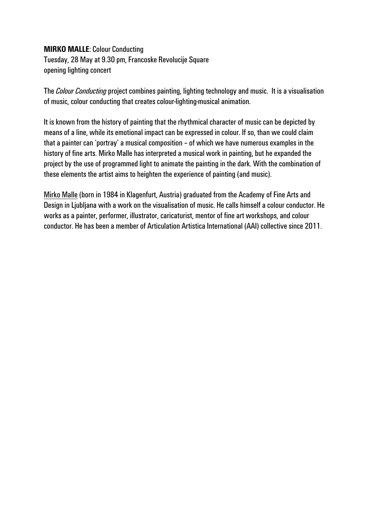#### **MIRKO MALLE**: Colour Conducting

Tuesday, 28 May at 9.30 pm, Francoske Revolucije Square opening lighting concert

The *Colour Conducting* project combines painting, lighting technology and music. It is a visualisation of music, colour conducting that creates colour-lighting-musical animation.

It is known from the history of painting that the rhythmical character of music can be depicted by means of a line, while its emotional impact can be expressed in colour. If so, than we could claim that a painter can 'portray' a musical composition – of which we have numerous examples in the history of fine arts. Mirko Malle has interpreted a musical work in painting, but he expanded the project by the use of programmed light to animate the painting in the dark. With the combination of these elements the artist aims to heighten the experience of painting (and music).

Mirko Malle (born in 1984 in Klagenfurt, Austria) graduated from the Academy of Fine Arts and Design in Ljubljana with a work on the visualisation of music. He calls himself a colour conductor. He works as a painter, performer, illustrator, caricaturist, mentor of fine art workshops, and colour conductor. He has been a member of Articulation Artistica International (AAI) collective since 2011.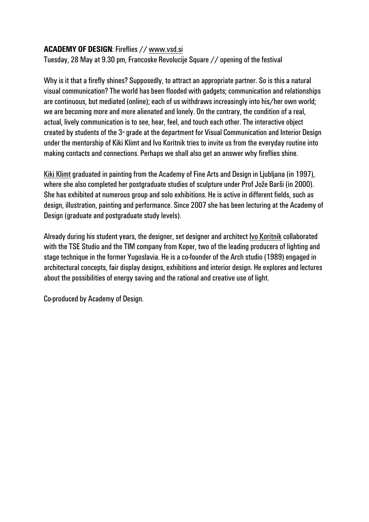### **ACADEMY OF DESIGN**: Fireflies // www.vsd.si

Tuesday, 28 May at 9.30 pm, Francoske Revolucije Square // opening of the festival

Why is it that a firefly shines? Supposedly, to attract an appropriate partner. So is this a natural visual communication? The world has been flooded with gadgets; communication and relationships are continuous, but mediated (online); each of us withdraws increasingly into his/her own world; we are becoming more and more alienated and lonely. On the contrary, the condition of a real, actual, lively communication is to see, hear, feel, and touch each other. The interactive object created by students of the  $3<sup>d</sup>$  grade at the department for Visual Communication and Interior Design under the mentorship of Kiki Klimt and Ivo Koritnik tries to invite us from the everyday routine into making contacts and connections. Perhaps we shall also get an answer why fireflies shine.

Kiki Klimt graduated in painting from the Academy of Fine Arts and Design in Liubliana (in 1997). where she also completed her postgraduate studies of sculpture under Prof Jože Barši (in 2000). She has exhibited at numerous group and solo exhibitions. He is active in different fields, such as design, illustration, painting and performance. Since 2007 she has been lecturing at the Academy of Design (graduate and postgraduate study levels).

Already during his student years, the designer, set designer and architect Ivo Koritnik collaborated with the TSE Studio and the TIM company from Koper, two of the leading producers of lighting and stage technique in the former Yugoslavia. He is a co-founder of the Arch studio (1989) engaged in architectural concepts, fair display designs, exhibitions and interior design. He explores and lectures about the possibilities of energy saving and the rational and creative use of light.

Co-produced by Academy of Design.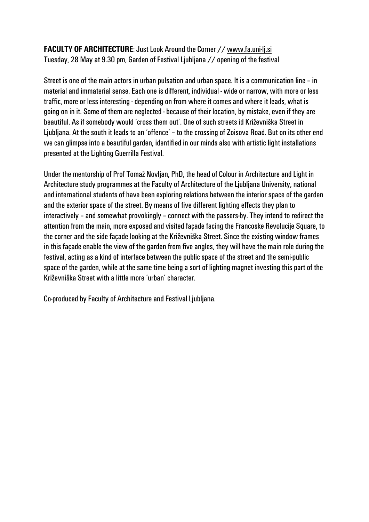## **FACULTY OF ARCHITECTURE:** Just Look Around the Corner // www.fa.uni-lj.si Tuesday, 28 May at 9.30 pm, Garden of Festival Ljubljana // opening of the festival

Street is one of the main actors in urban pulsation and urban space. It is a communication line – in material and immaterial sense. Each one is different, individual - wide or narrow, with more or less traffic, more or less interesting - depending on from where it comes and where it leads, what is going on in it. Some of them are neglected - because of their location, by mistake, even if they are beautiful. As if somebody would 'cross them out'. One of such streets id Križevniška Street in Ljubljana. At the south it leads to an 'offence' – to the crossing of Zoisova Road. But on its other end we can glimpse into a beautiful garden, identified in our minds also with artistic light installations presented at the Lighting Guerrilla Festival.

Under the mentorship of Prof Tomaž Novljan, PhD, the head of Colour in Architecture and Light in Architecture study programmes at the Faculty of Architecture of the Ljubljana University, national and international students of have been exploring relations between the interior space of the garden and the exterior space of the street. By means of five different lighting effects they plan to interactively – and somewhat provokingly – connect with the passers-by. They intend to redirect the attention from the main, more exposed and visited façade facing the Francoske Revolucije Square, to the corner and the side façade looking at the Križevniška Street. Since the existing window frames in this façade enable the view of the garden from five angles, they will have the main role during the festival, acting as a kind of interface between the public space of the street and the semi-public space of the garden, while at the same time being a sort of lighting magnet investing this part of the Križevniška Street with a little more 'urban' character.

Co-produced by Faculty of Architecture and Festival Ljubljana.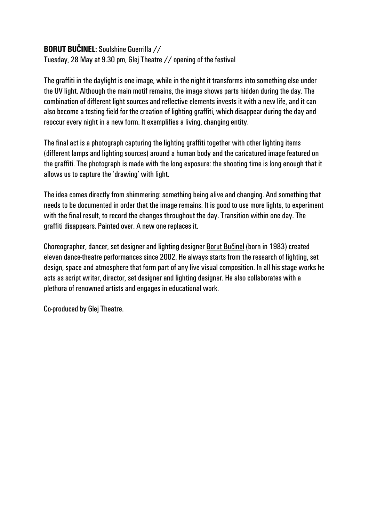### **BORUT BUČINEL:** Soulshine Guerrilla //

Tuesday, 28 May at 9.30 pm, Glej Theatre // opening of the festival

The graffiti in the daylight is one image, while in the night it transforms into something else under the UV light. Although the main motif remains, the image shows parts hidden during the day. The combination of different light sources and reflective elements invests it with a new life, and it can also become a testing field for the creation of lighting graffiti, which disappear during the day and reoccur every night in a new form. It exemplifies a living, changing entity.

The final act is a photograph capturing the lighting graffiti together with other lighting items (different lamps and lighting sources) around a human body and the caricatured image featured on the graffiti. The photograph is made with the long exposure: the shooting time is long enough that it allows us to capture the 'drawing' with light.

The idea comes directly from shimmering: something being alive and changing. And something that needs to be documented in order that the image remains. It is good to use more lights, to experiment with the final result, to record the changes throughout the day. Transition within one day. The graffiti disappears. Painted over. A new one replaces it.

Choreographer, dancer, set designer and lighting designer Borut Bučinel (born in 1983) created eleven dance-theatre performances since 2002. He always starts from the research of lighting, set design, space and atmosphere that form part of any live visual composition. In all his stage works he acts as script writer, director, set designer and lighting designer. He also collaborates with a plethora of renowned artists and engages in educational work.

Co-produced by Glej Theatre.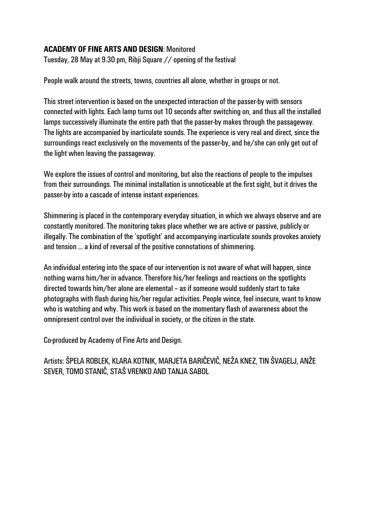### **ACADEMY OF FINE ARTS AND DESIGN**: Monitored

Tuesday, 28 May at 9.30 pm, Ribji Square // opening of the festival

People walk around the streets, towns, countries all alone, whether in groups or not.

This street intervention is based on the unexpected interaction of the passer-by with sensors connected with lights. Each lamp turns out 10 seconds after switching on, and thus all the installed lamps successively illuminate the entire path that the passer-by makes through the passageway. The lights are accompanied by inarticulate sounds. The experience is very real and direct, since the surroundings react exclusively on the movements of the passer-by, and he/she can only get out of the light when leaving the passageway.

We explore the issues of control and monitoring, but also the reactions of people to the impulses from their surroundings. The minimal installation is unnoticeable at the first sight, but it drives the passer-by into a cascade of intense instant experiences.

Shimmering is placed in the contemporary everyday situation, in which we always observe and are constantly monitored. The monitoring takes place whether we are active or passive, publicly or illegally. The combination of the 'spotlight' and accompanying inarticulate sounds provokes anxiety and tension … a kind of reversal of the positive connotations of shimmering.

An individual entering into the space of our intervention is not aware of what will happen, since nothing warns him/her in advance. Therefore his/her feelings and reactions on the spotlights directed towards him/her alone are elemental – as if someone would suddenly start to take photographs with flash during his/her regular activities. People wince, feel insecure, want to know who is watching and why. This work is based on the momentary flash of awareness about the omnipresent control over the individual in society, or the citizen in the state.

Co-produced by Academy of Fine Arts and Design.

Artists: ŠPELA ROBLEK, KLARA KOTNIK, MARJETA BARIČEVIČ, NEŽA KNEZ, TIN ŠVAGELJ, ANŽE SEVER, TOMO STANIČ, STAŠ VRENKO AND TANJA SABOL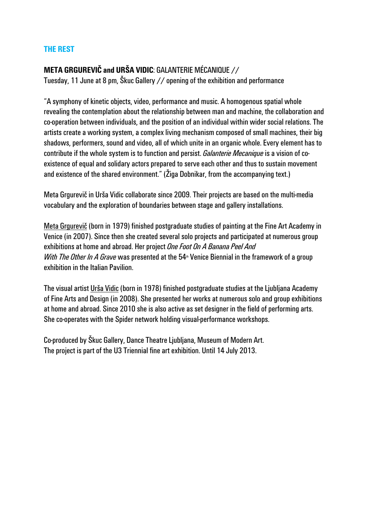### **THE REST**

## **META GRGUREVIČ and URŠA VIDIC**: GALANTERIE MÉCANIQUE //

Tuesday, 11 June at 8 pm, Škuc Gallery // opening of the exhibition and performance

"A symphony of kinetic objects, video, performance and music. A homogenous spatial whole revealing the contemplation about the relationship between man and machine, the collaboration and co-operation between individuals, and the position of an individual within wider social relations. The artists create a working system, a complex living mechanism composed of small machines, their big shadows, performers, sound and video, all of which unite in an organic whole. Every element has to contribute if the whole system is to function and persist. *Galanterie Mecanique* is a vision of coexistence of equal and solidary actors prepared to serve each other and thus to sustain movement and existence of the shared environment." (Žiga Dobnikar, from the accompanying text.)

Meta Grgurevič in Urša Vidic collaborate since 2009. Their projects are based on the multi-media vocabulary and the exploration of boundaries between stage and gallery installations.

Meta Grgurevič (born in 1979) finished postgraduate studies of painting at the Fine Art Academy in Venice (in 2007). Since then she created several solo projects and participated at numerous group exhibitions at home and abroad. Her project *One Foot On A Banana Peel And With The Other In A Grave* was presented at the 54<sup>th</sup> Venice Biennial in the framework of a group exhibition in the Italian Pavilion.

The visual artist Urša Vidic (born in 1978) finished postgraduate studies at the Ljubljana Academy of Fine Arts and Design (in 2008). She presented her works at numerous solo and group exhibitions at home and abroad. Since 2010 she is also active as set designer in the field of performing arts. She co-operates with the Spider network holding visual-performance workshops.

Co-produced by Škuc Gallery, Dance Theatre Ljubljana, Museum of Modern Art. The project is part of the U3 Triennial fine art exhibition. Until 14 July 2013.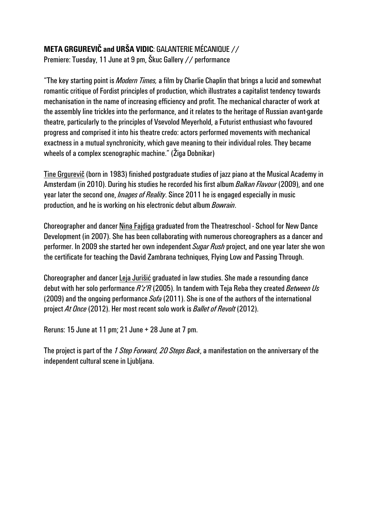# **META GRGUREVIČ and URŠA VIDIC**: GALANTERIE MÉCANIQUE //

Premiere: Tuesday, 11 June at 9 pm, Škuc Gallery // performance

"The key starting point is *Modern Times,* a film by Charlie Chaplin that brings a lucid and somewhat romantic critique of Fordist principles of production, which illustrates a capitalist tendency towards mechanisation in the name of increasing efficiency and profit. The mechanical character of work at the assembly line trickles into the performance, and it relates to the heritage of Russian avant-garde theatre, particularly to the principles of Vsevolod Meyerhold, a Futurist enthusiast who favoured progress and comprised it into his theatre credo: actors performed movements with mechanical exactness in a mutual synchronicity, which gave meaning to their individual roles. They became wheels of a complex scenographic machine." (Žiga Dobnikar)

Tine Grgurevič (born in 1983) finished postgraduate studies of jazz piano at the Musical Academy in Amsterdam (in 2010). During his studies he recorded his first album *Balkan Flavour* (2009), and one year later the second one, *Images of Reality*. Since 2011 he is engaged especially in music production, and he is working on his electronic debut album *Bowrain*.

Choreographer and dancer Nina Fajdiga graduated from the Theatreschool - School for New Dance Development (in 2007). She has been collaborating with numerous choreographers as a dancer and performer. In 2009 she started her own independent *Sugar Rush* project, and one year later she won the certificate for teaching the David Zambrana techniques, Flying Low and Passing Through.

Choreographer and dancer Leja Jurišić graduated in law studies. She made a resounding dance debut with her solo performance *R'z'R* (2005). In tandem with Teja Reba they created *Between Us* (2009)and the ongoing performance *Sofa* (2011). She is one of the authors of the international project *At Once* (2012). Her most recent solo work is *Ballet of Revolt* (2012).

Reruns: 15 June at 11 pm; 21 June + 28 June at 7 pm.

The project is part of the *1 Step Forward, 20 Steps Back*, a manifestation on the anniversary of the independent cultural scene in Ljubljana.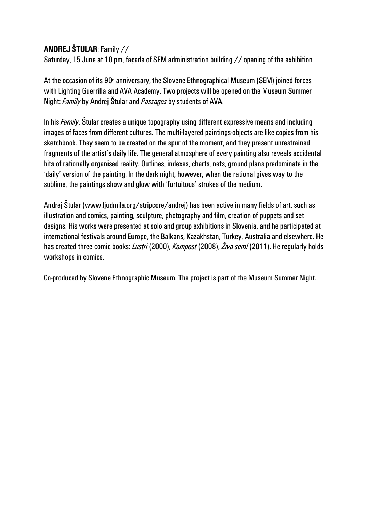## **ANDREJ ŠTULAR**: Family //

Saturday, 15 June at 10 pm, façade of SEM administration building // opening of the exhibition

At the occasion of its  $90<sup>th</sup>$  anniversary, the Slovene Ethnographical Museum (SEM) joined forces with Lighting Guerrilla and AVA Academy. Two projects will be opened on the Museum Summer Night: *Family* by Andrej Štular and *Passages* by students of AVA.

In his *Family*, Štular creates a unique topography using different expressive means and including images of faces from different cultures. The multi-layered paintings-objects are like copies from his sketchbook. They seem to be created on the spur of the moment, and they present unrestrained fragments of the artist's daily life. The general atmosphere of every painting also reveals accidental bits of rationally organised reality. Outlines, indexes, charts, nets, ground plans predominate in the 'daily' version of the painting. In the dark night, however, when the rational gives way to the sublime, the paintings show and glow with 'fortuitous' strokes of the medium.

Andrej Štular (www.ljudmila.org/stripcore/andrej) has been active in many fields of art, such as illustration and comics, painting, sculpture, photography and film, creation of puppets and set designs. His works were presented at solo and group exhibitions in Slovenia, and he participated at international festivals around Europe, the Balkans, Kazakhstan, Turkey, Australia and elsewhere. He has created three comic books: *Lustri* (2000), *Kompost* (2008), *Živa sem!* (2011). He regularly holds workshops in comics.

Co-produced by Slovene Ethnographic Museum. The project is part of the Museum Summer Night.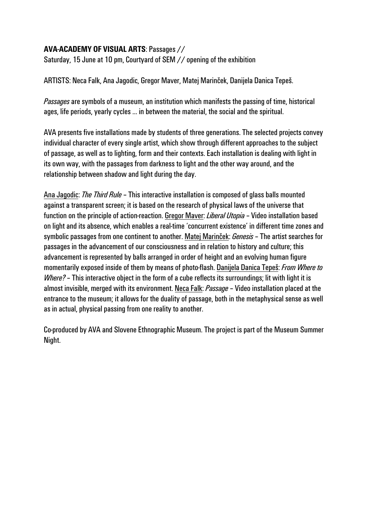## **AVA-ACADEMY OF VISUAL ARTS**: Passages //

Saturday, 15 June at 10 pm, Courtyard of SEM // opening of the exhibition

ARTISTS: Neca Falk, Ana Jagodic, Gregor Maver, Matej Marinček, Danijela Danica Tepeš.

*Passages* are symbols of a museum, an institution which manifests the passing of time, historical ages, life periods, yearly cycles … in between the material, the social and the spiritual.

AVA presents five installations made by students of three generations. The selected projects convey individual character of every single artist, which show through different approaches to the subject of passage, as well as to lighting, form and their contexts. Each installation is dealing with light in its own way, with the passages from darkness to light and the other way around, and the relationship between shadow and light during the day.

Ana Jagodic: *The Third Rule* – This interactive installation is composed of glass balls mounted against a transparent screen; it is based on the research of physical laws of the universe that function on the principle of action-reaction. Gregor Maver: *Liberal Utopia* – Video installation based on light and its absence, which enables a real-time 'concurrent existence' in different time zones and symbolic passages from one continent to another. Matej Marinček: *Genesis* – The artist searches for passages in the advancement of our consciousness and in relation to history and culture; this advancement is represented by balls arranged in order of height and an evolving human figure momentarily exposed inside of them by means of photo-flash. Danijela Danica Tepeš: *From Where to Where?* – This interactive object in the form of a cube reflects its surroundings; lit with light it is almost invisible, merged with its environment. Neca Falk: *Passage* – Video installation placed at the entrance to the museum; it allows for the duality of passage, both in the metaphysical sense as well as in actual, physical passing from one reality to another.

Co-produced by AVA and Slovene Ethnographic Museum. The project is part of the Museum Summer Night.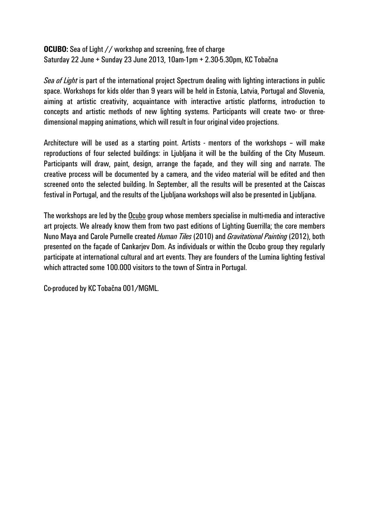**OCUBO:** Sea of Light // workshop and screening, free of charge Saturday 22 June + Sunday 23 June 2013, 10am-1pm + 2.30-5.30pm, KC Tobačna

*Sea of Light* is part of the international project Spectrum dealing with lighting interactions in public space. Workshops for kids older than 9 years will be held in Estonia, Latvia, Portugal and Slovenia, aiming at artistic creativity, acquaintance with interactive artistic platforms, introduction to concepts and artistic methods of new lighting systems. Participants will create two- or threedimensional mapping animations, which will result in four original video projections.

Architecture will be used as a starting point. Artists - mentors of the workshops – will make reproductions of four selected buildings: in Ljubljana it will be the building of the City Museum. Participants will draw, paint, design, arrange the façade, and they will sing and narrate. The creative process will be documented by a camera, and the video material will be edited and then screened onto the selected building. In September, all the results will be presented at the Caiscas festival in Portugal, and the results of the Ljubljana workshops will also be presented in Ljubljana.

The workshops are led by the Ocubo group whose members specialise in multi-media and interactive art projects. We already know them from two past editions of Lighting Guerrilla; the core members Nuno Maya and Carole Purnelle created *Human Tiles* (2010) and *Gravitational Painting* (2012), both presented on the façade of Cankarjev Dom. As individuals or within the Ocubo group they regularly participate at international cultural and art events. They are founders of the Lumina lighting festival which attracted some 100.000 visitors to the town of Sintra in Portugal.

Co-produced by KC Tobačna 001/MGML.